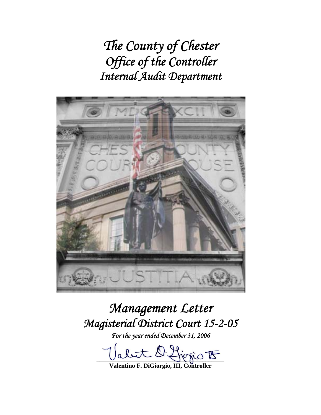*The County of Chester Office of the Controller Internal Audit Department* 



# *Management Letter Magisterial District Court 15-2-05*

*For the year ended December 31, 2006* 

 $D$  figgio  $\overline{E}$ 

**Valentino F. DiGiorgio, III, Controller**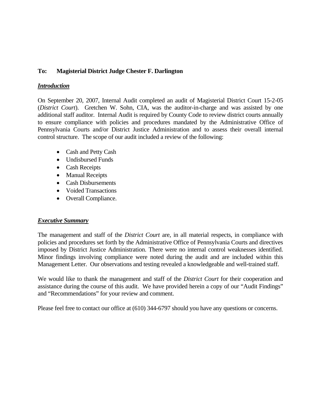## **To: Magisterial District Judge Chester F. Darlington**

### *Introduction*

On September 20, 2007, Internal Audit completed an audit of Magisterial District Court 15-2-05 (*District Court*). Gretchen W. Sohn, CIA, was the auditor-in-charge and was assisted by one additional staff auditor. Internal Audit is required by County Code to review district courts annually to ensure compliance with policies and procedures mandated by the Administrative Office of Pennsylvania Courts and/or District Justice Administration and to assess their overall internal control structure. The scope of our audit included a review of the following:

- Cash and Petty Cash
- Undisbursed Funds
- Cash Receipts
- Manual Receipts
- Cash Disbursements
- Voided Transactions
- Overall Compliance.

### *Executive Summary*

The management and staff of the *District Court* are, in all material respects, in compliance with policies and procedures set forth by the Administrative Office of Pennsylvania Courts and directives imposed by District Justice Administration. There were no internal control weaknesses identified. Minor findings involving compliance were noted during the audit and are included within this Management Letter. Our observations and testing revealed a knowledgeable and well-trained staff.

We would like to thank the management and staff of the *District Court* for their cooperation and assistance during the course of this audit. We have provided herein a copy of our "Audit Findings" and "Recommendations" for your review and comment.

Please feel free to contact our office at (610) 344-6797 should you have any questions or concerns.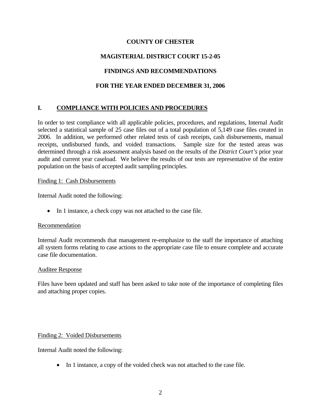## **COUNTY OF CHESTER**

# **MAGISTERIAL DISTRICT COURT 15-2-05**

# **FINDINGS AND RECOMMENDATIONS**

## **FOR THE YEAR ENDED DECEMBER 31, 2006**

# **I. COMPLIANCE WITH POLICIES AND PROCEDURES**

In order to test compliance with all applicable policies, procedures, and regulations, Internal Audit selected a statistical sample of 25 case files out of a total population of 5,149 case files created in 2006. In addition, we performed other related tests of cash receipts, cash disbursements, manual receipts, undisbursed funds, and voided transactions. Sample size for the tested areas was determined through a risk assessment analysis based on the results of the *District Court's* prior year audit and current year caseload. We believe the results of our tests are representative of the entire population on the basis of accepted audit sampling principles.

### Finding 1: Cash Disbursements

Internal Audit noted the following:

• In 1 instance, a check copy was not attached to the case file.

### Recommendation

Internal Audit recommends that management re-emphasize to the staff the importance of attaching all system forms relating to case actions to the appropriate case file to ensure complete and accurate case file documentation.

#### Auditee Response

Files have been updated and staff has been asked to take note of the importance of completing files and attaching proper copies.

### Finding 2: Voided Disbursements

Internal Audit noted the following:

• In 1 instance, a copy of the voided check was not attached to the case file.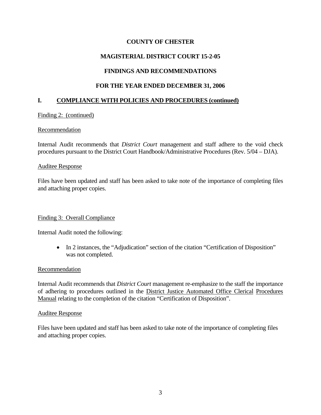## **COUNTY OF CHESTER**

## **MAGISTERIAL DISTRICT COURT 15-2-05**

## **FINDINGS AND RECOMMENDATIONS**

## **FOR THE YEAR ENDED DECEMBER 31, 2006**

## **I. COMPLIANCE WITH POLICIES AND PROCEDURES (continued)**

### Finding 2: (continued)

#### Recommendation

Internal Audit recommends that *District Court* management and staff adhere to the void check procedures pursuant to the District Court Handbook/Administrative Procedures (Rev. 5/04 – DJA).

#### Auditee Response

Files have been updated and staff has been asked to take note of the importance of completing files and attaching proper copies.

### Finding 3: Overall Compliance

Internal Audit noted the following:

• In 2 instances, the "Adjudication" section of the citation "Certification of Disposition" was not completed.

#### Recommendation

Internal Audit recommends that *District Court* management re-emphasize to the staff the importance of adhering to procedures outlined in the District Justice Automated Office Clerical Procedures Manual relating to the completion of the citation "Certification of Disposition".

#### Auditee Response

Files have been updated and staff has been asked to take note of the importance of completing files and attaching proper copies.